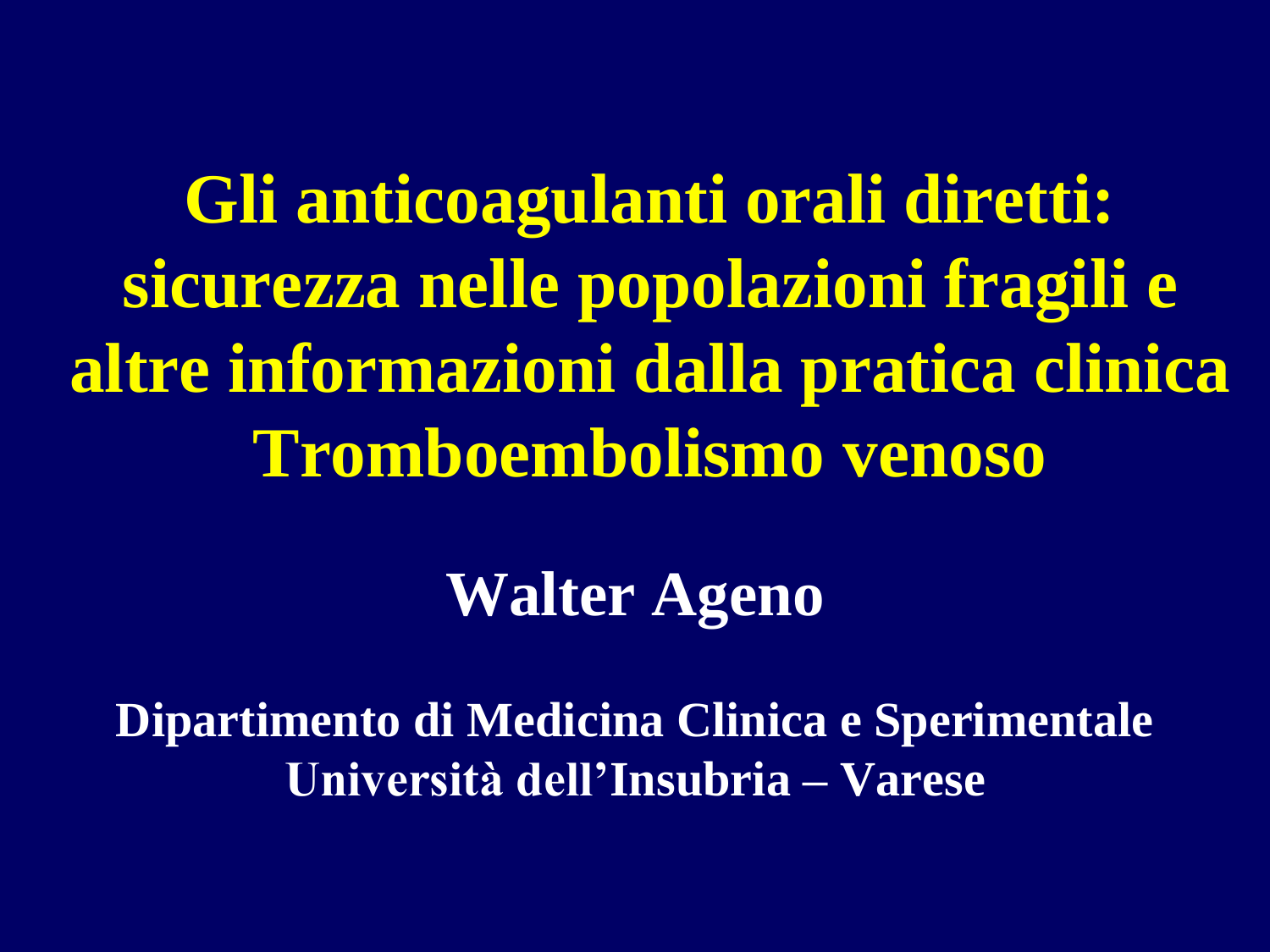**Gli anticoagulanti orali diretti: sicurezza nelle popolazioni fragili e altre informazioni dalla pratica clinica Tromboembolismo venoso** 

**Walter Ageno**

**Dipartimento di Medicina Clinica e Sperimentale Università dell'Insubria – Varese**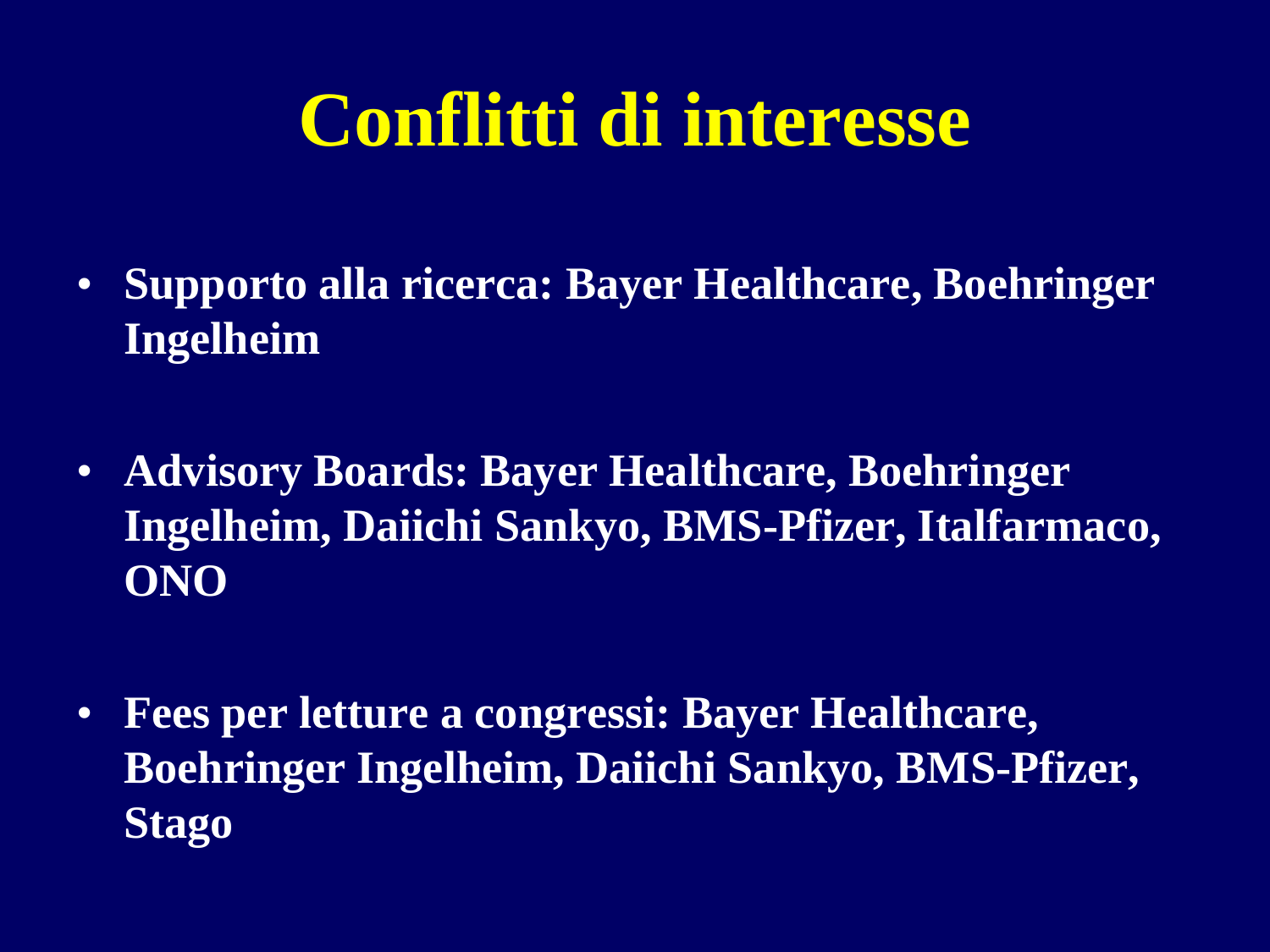# **Conflitti di interesse**

- **Supporto alla ricerca: Bayer Healthcare, Boehringer Ingelheim**
- **Advisory Boards: Bayer Healthcare, Boehringer Ingelheim, Daiichi Sankyo, BMS-Pfizer, Italfarmaco, ONO**
- **Fees per letture a congressi: Bayer Healthcare, Boehringer Ingelheim, Daiichi Sankyo, BMS-Pfizer, Stago**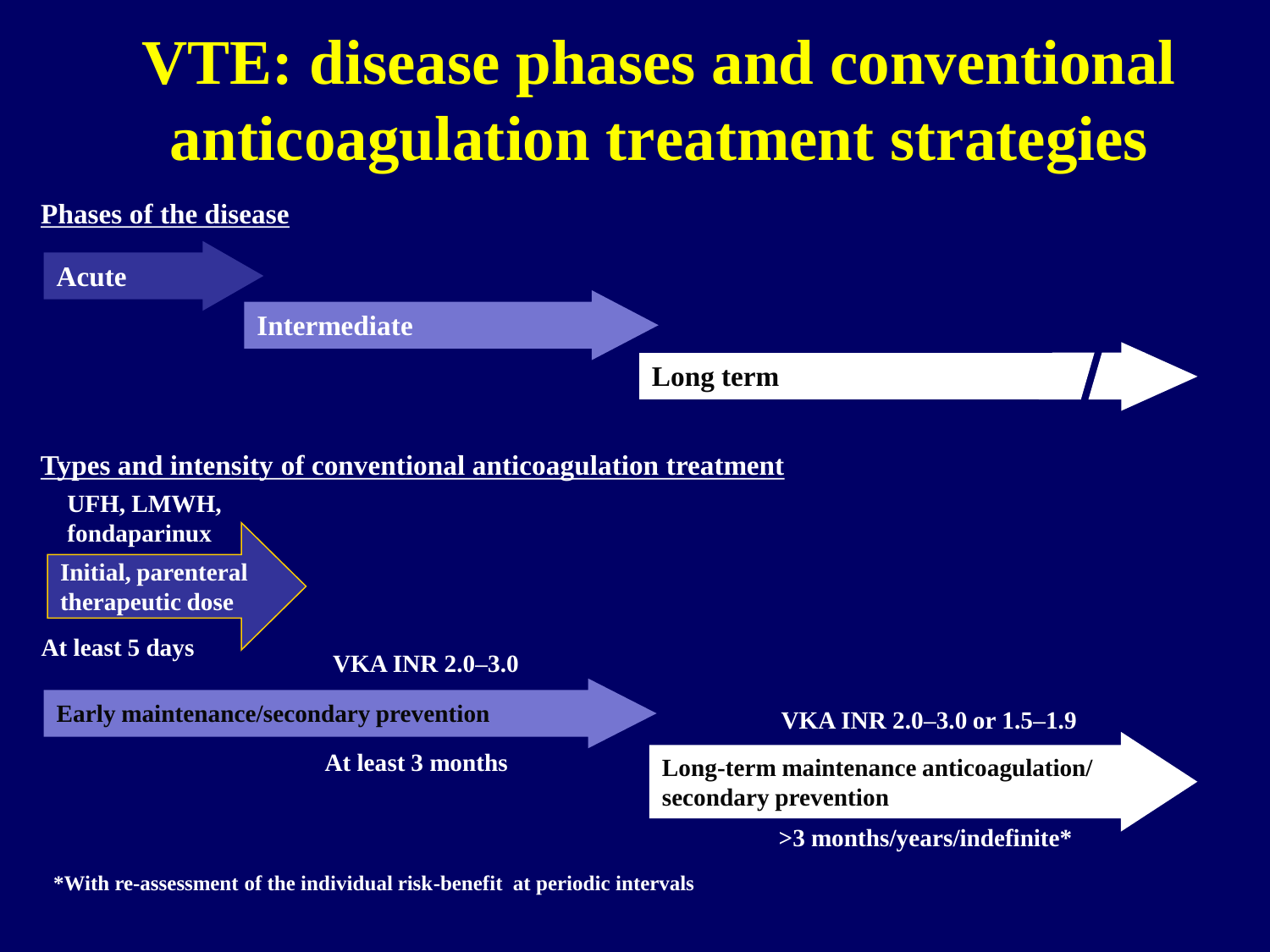# **VTE: disease phases and conventional anticoagulation treatment strategies**



**\*With re-assessment of the individual risk-benefit at periodic intervals**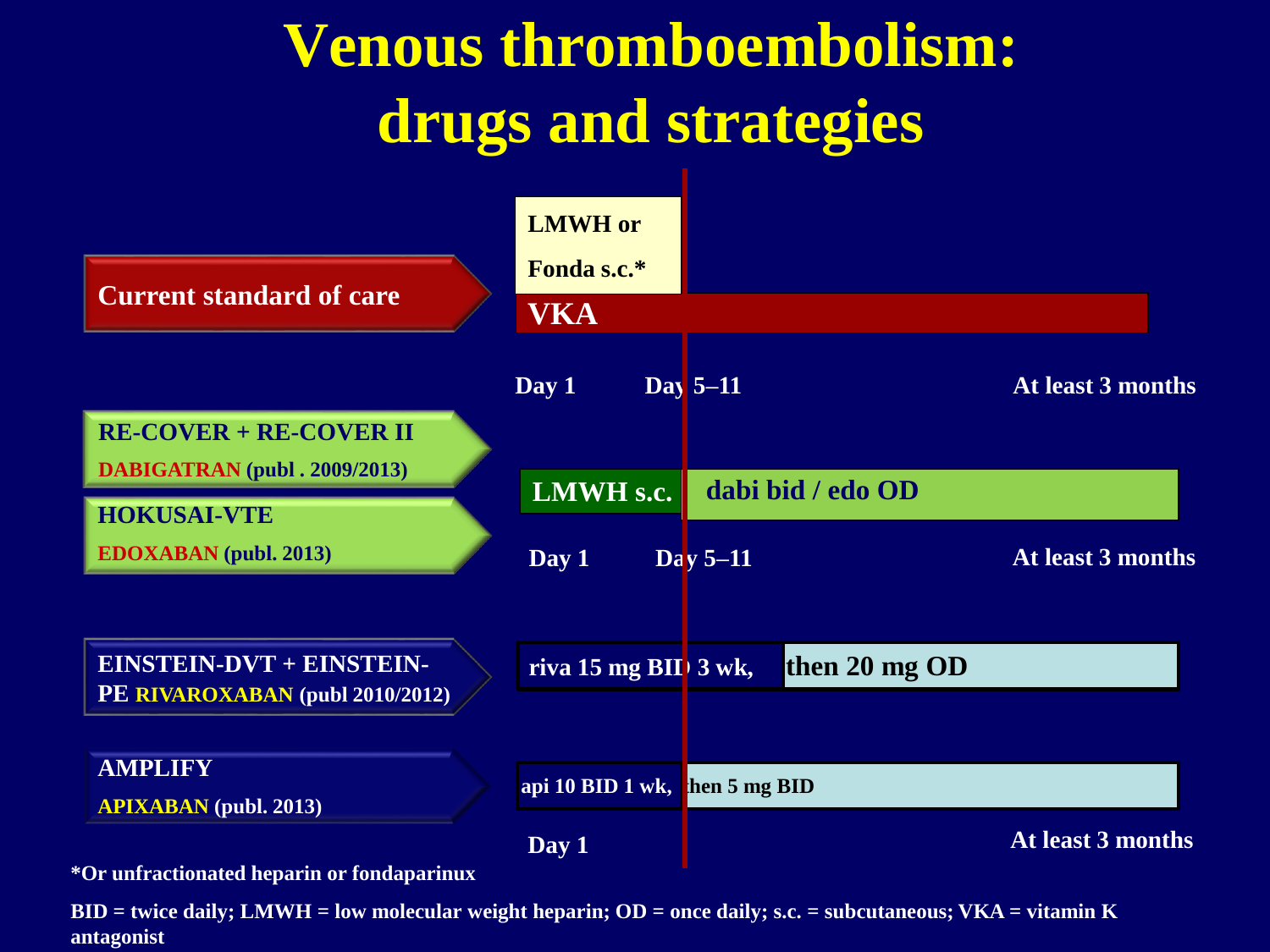# **Venous thromboembolism: drugs and strategies**



**\*Or unfractionated heparin or fondaparinux**

**BID = twice daily; LMWH = low molecular weight heparin; OD = once daily; s.c. = subcutaneous; VKA = vitamin K antagonist**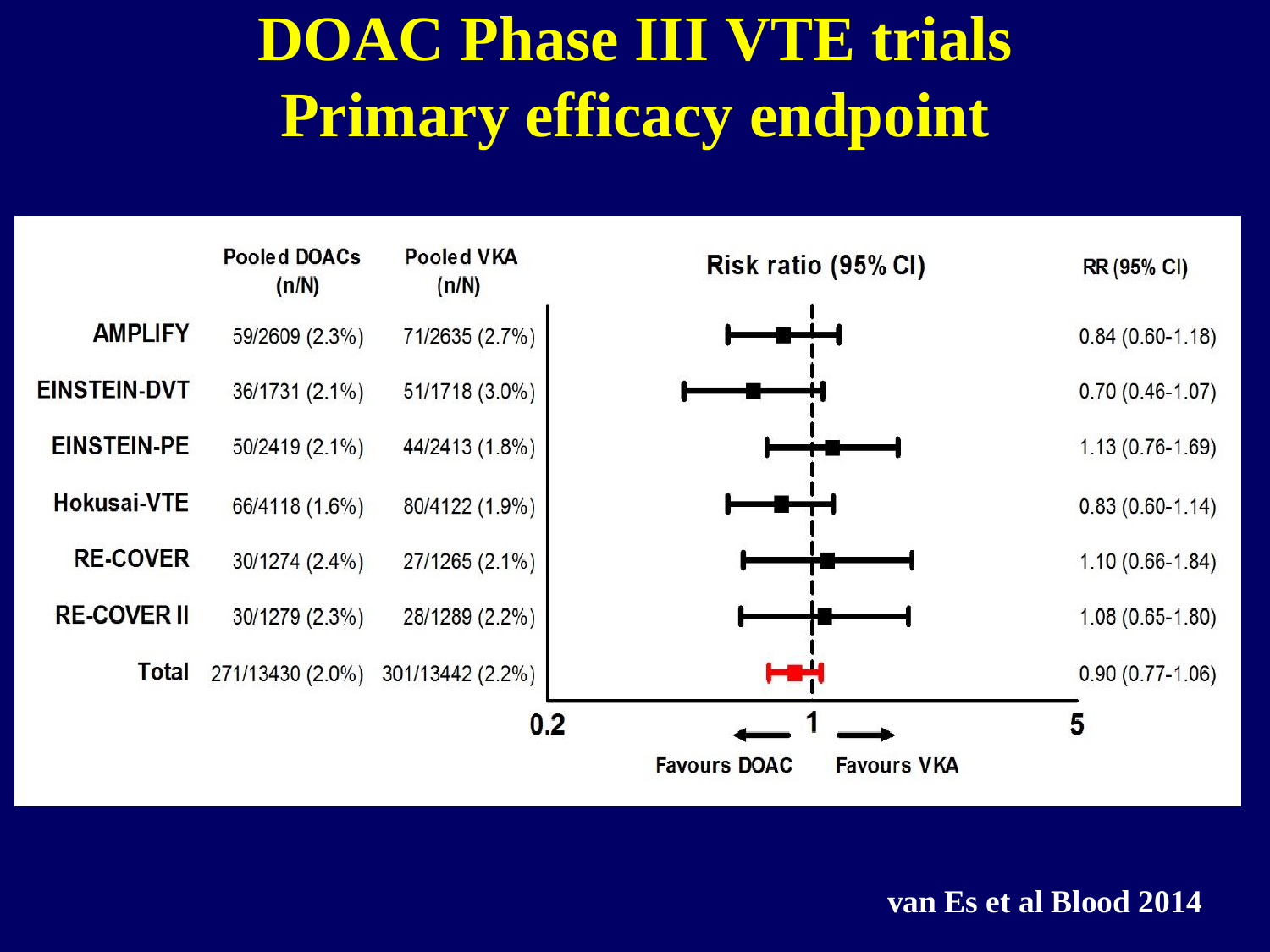# **DOAC Phase III VTE trials Primary efficacy endpoint**

|                     | <b>Pooled DOACs</b><br>(n/N) | <b>Pooled VKA</b><br>(n/N) | Risk ratio (95% CI)                       | RR (95% CI)         |
|---------------------|------------------------------|----------------------------|-------------------------------------------|---------------------|
| <b>AMPLIFY</b>      | 59/2609 (2.3%)               | 71/2635 (2.7%)             |                                           | $0.84(0.60-1.18)$   |
| <b>EINSTEIN-DVT</b> | 36/1731 (2.1%)               | 51/1718 (3.0%)             |                                           | $0.70(0.46-1.07)$   |
| <b>EINSTEIN-PE</b>  | 50/2419 (2.1%)               | 44/2413 (1.8%)             |                                           | $1.13(0.76-1.69)$   |
| Hokusai-VTE         | 66/4118 (1.6%)               | 80/4122 (1.9%)             |                                           | $0.83(0.60-1.14)$   |
| <b>RE-COVER</b>     | 30/1274 (2.4%)               | 27/1265 (2.1%)             |                                           | $1.10(0.66 - 1.84)$ |
| <b>RE-COVER II</b>  | 30/1279 (2.3%)               | 28/1289 (2.2%)             |                                           | $1.08(0.65-1.80)$   |
| Total               | 271/13430 (2.0%)             | 301/13442 (2.2%)           |                                           | $0.90(0.77-1.06)$   |
|                     |                              | 0.2                        |                                           | 5                   |
|                     |                              |                            | <b>Favours DOAC</b><br><b>Favours VKA</b> |                     |

**van Es et al Blood 2014**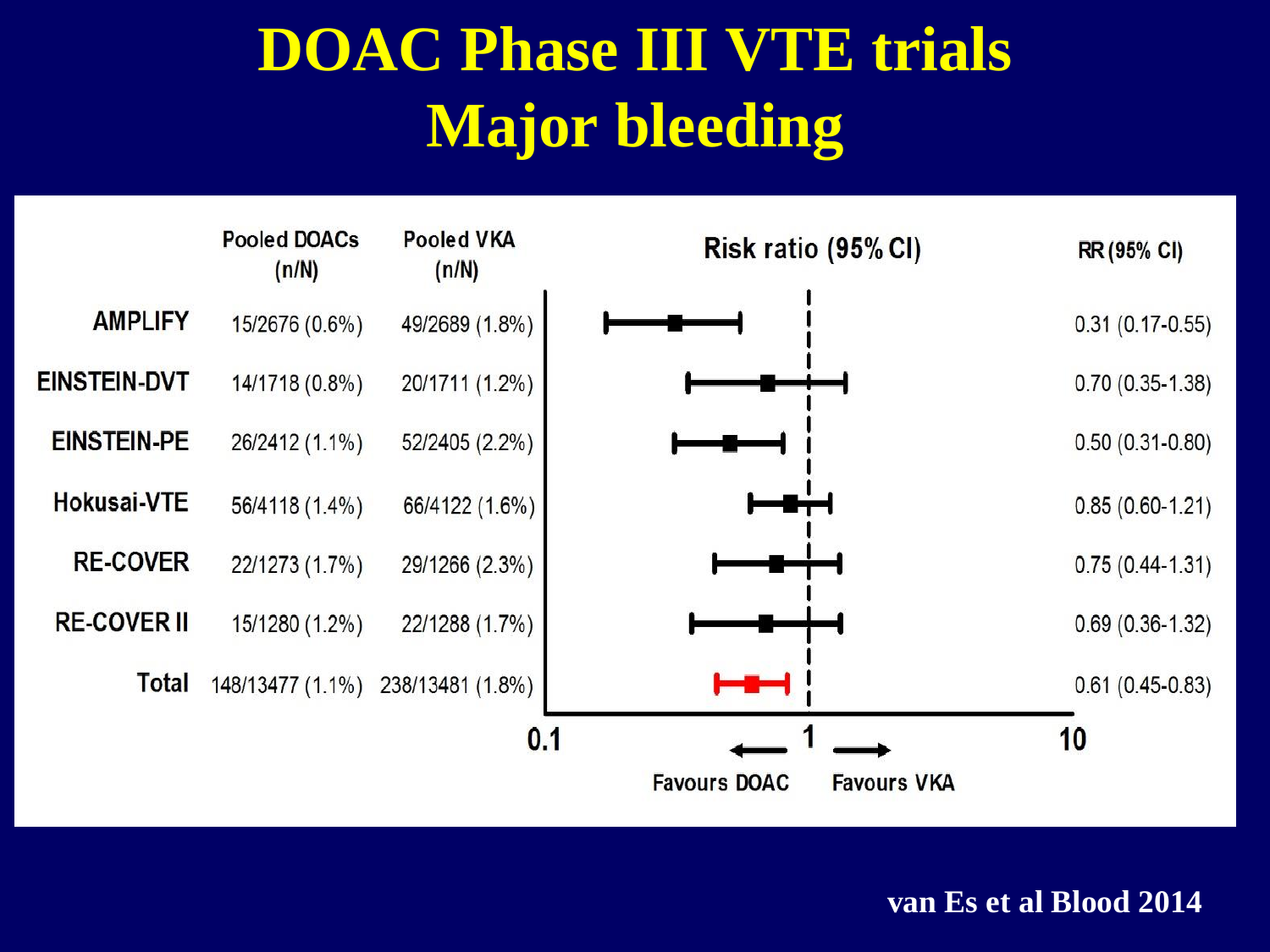# **DOAC Phase III VTE trials Major bleeding**



**van Es et al Blood 2014**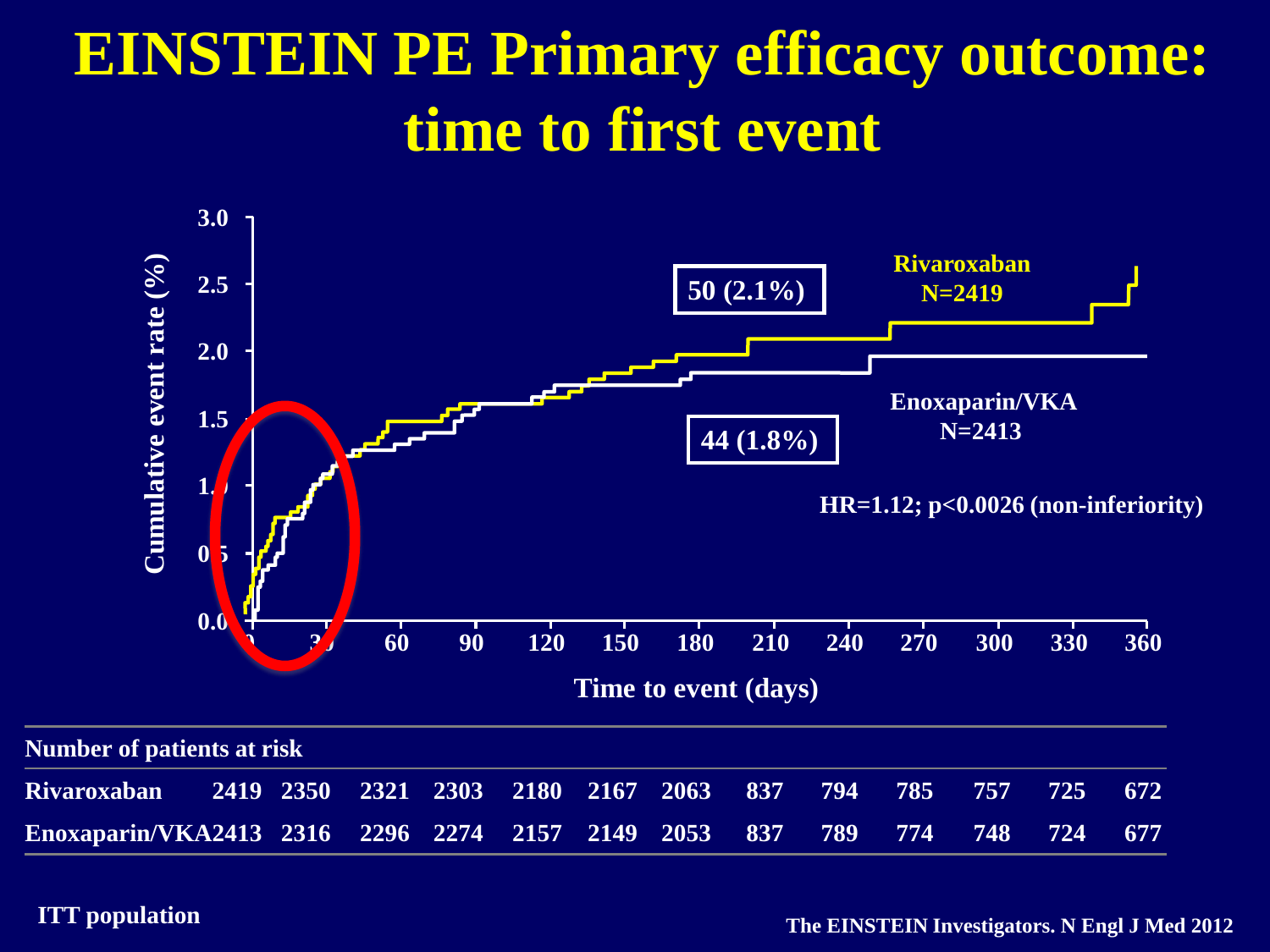# **EINSTEIN PE Primary efficacy outcome: time to first event**



#### **ITT population**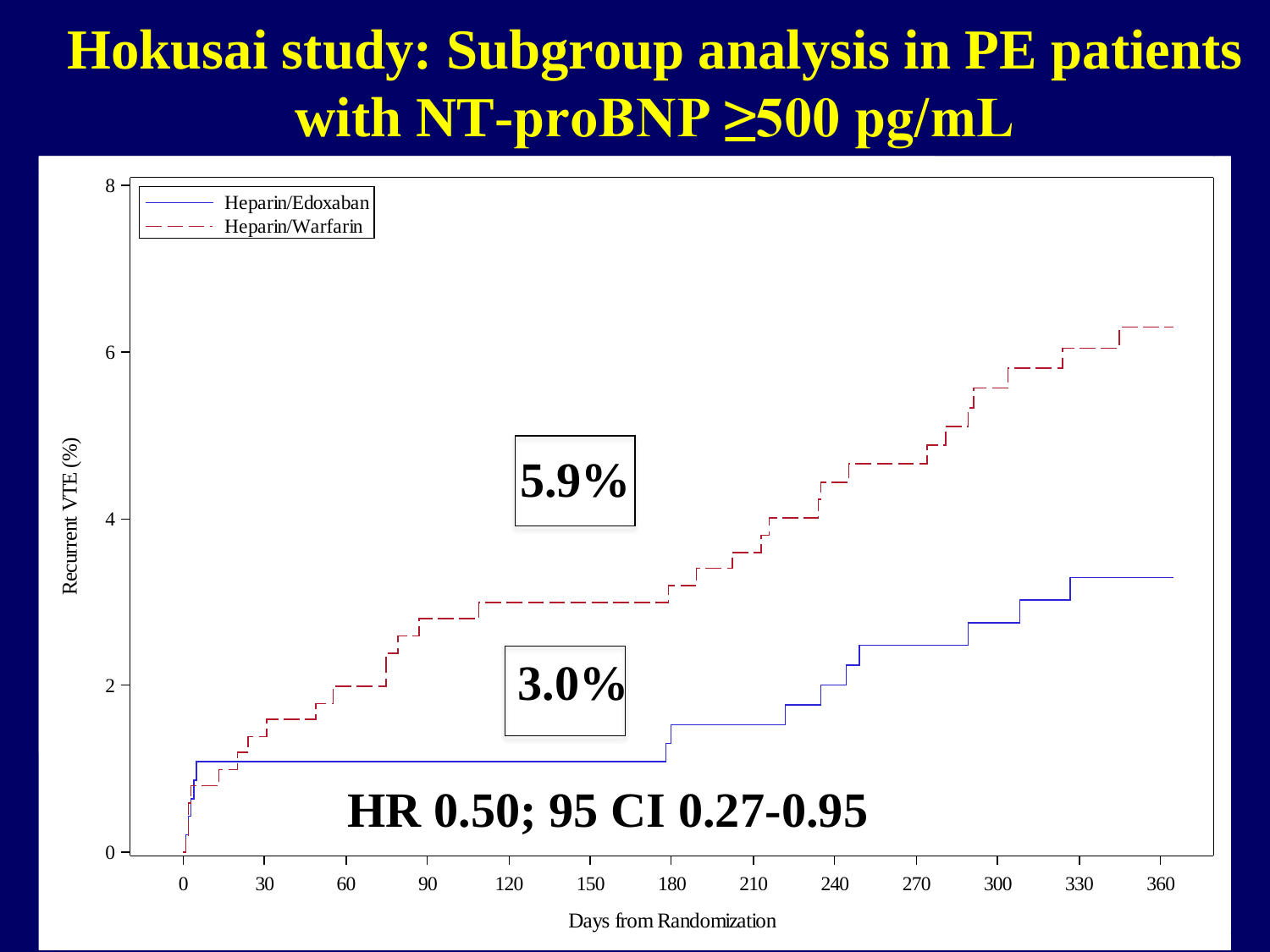#### **Hokusai study: Subgroup analysis in PE patients with NT-proBNP ≥500 pg/mL**

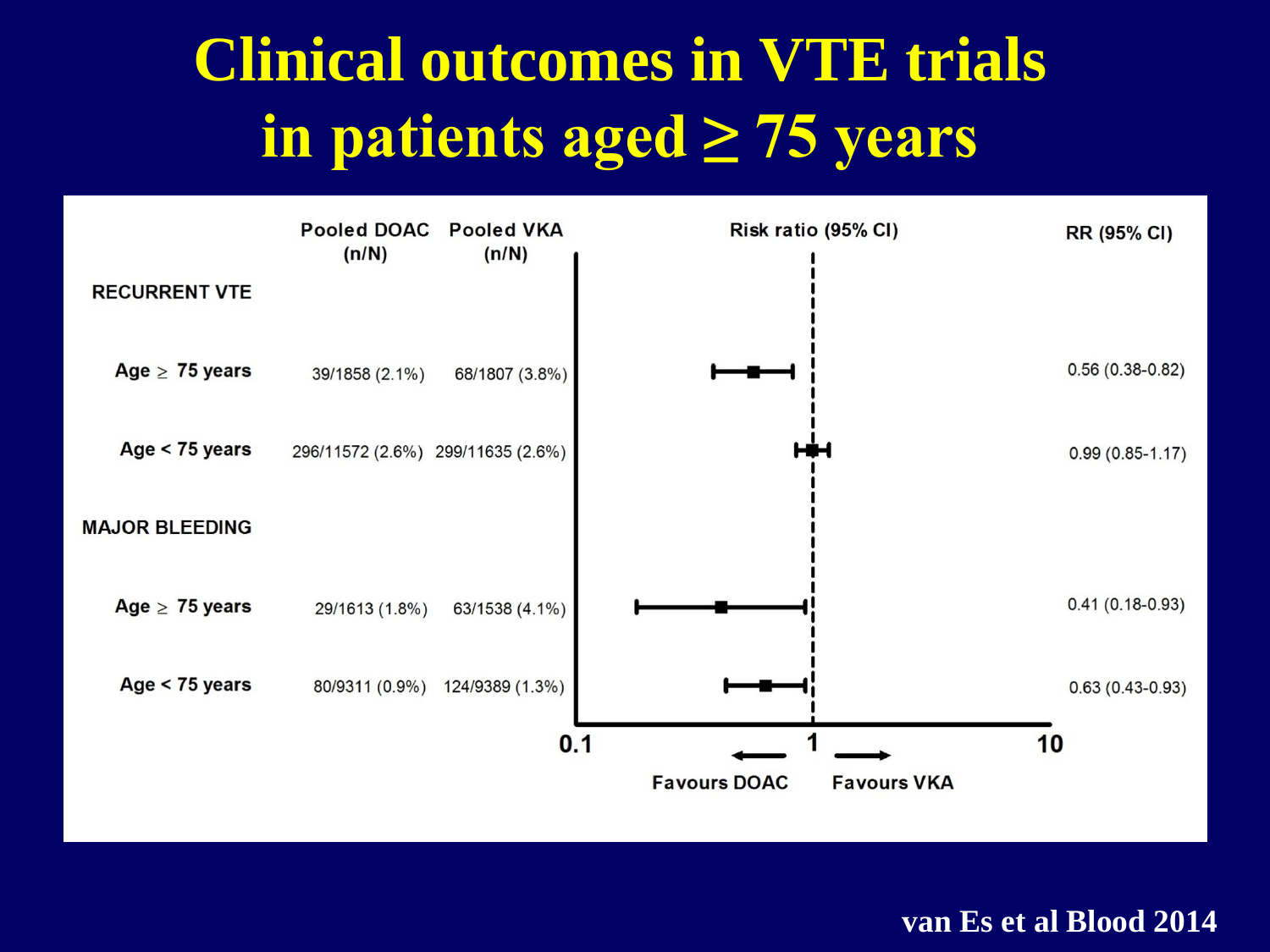# **Clinical outcomes in VTE trials in patients aged ≥ 75 years**



**van Es et al Blood 2014**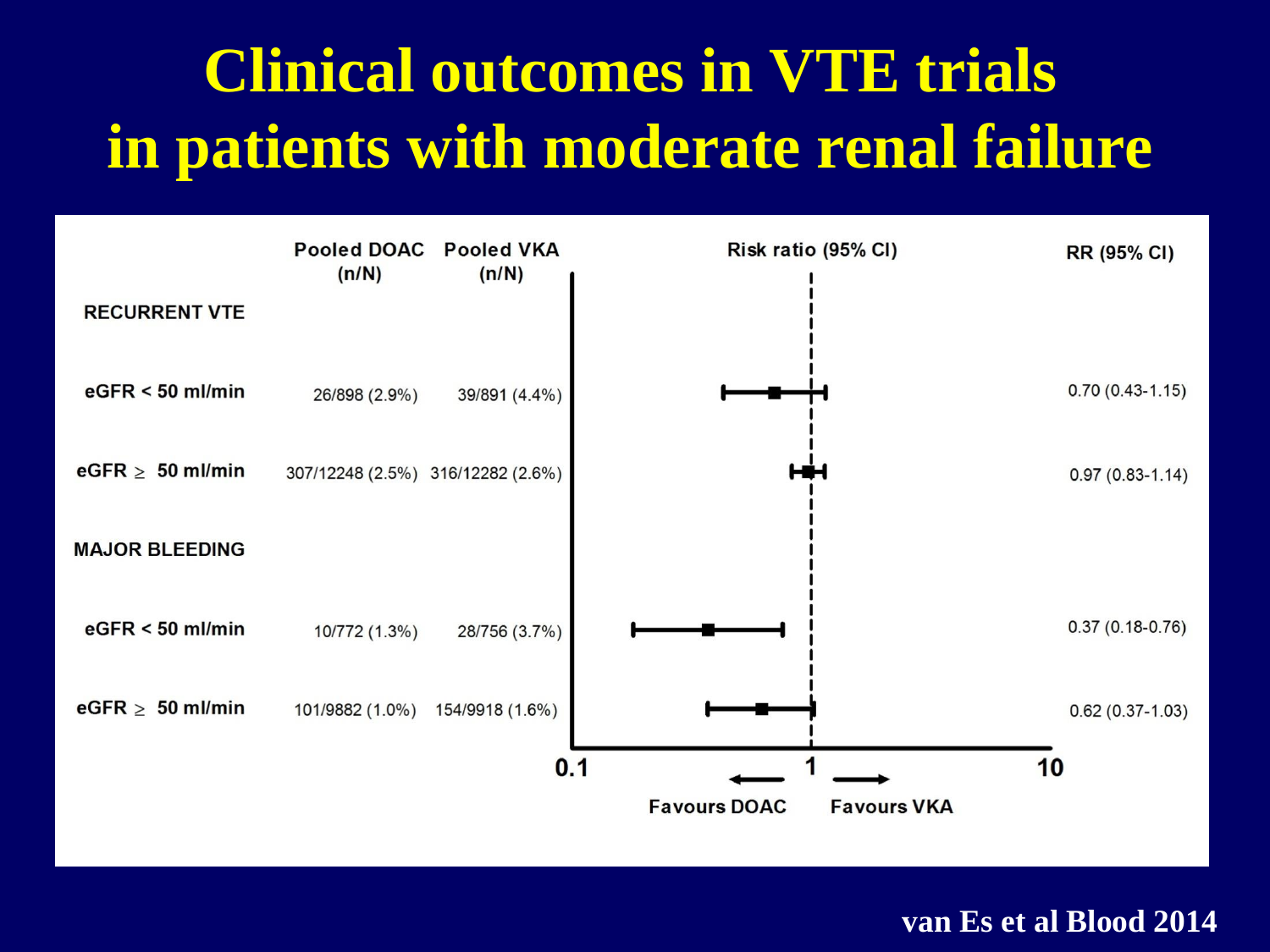# **Clinical outcomes in VTE trials in patients with moderate renal failure**



**van Es et al Blood 2014**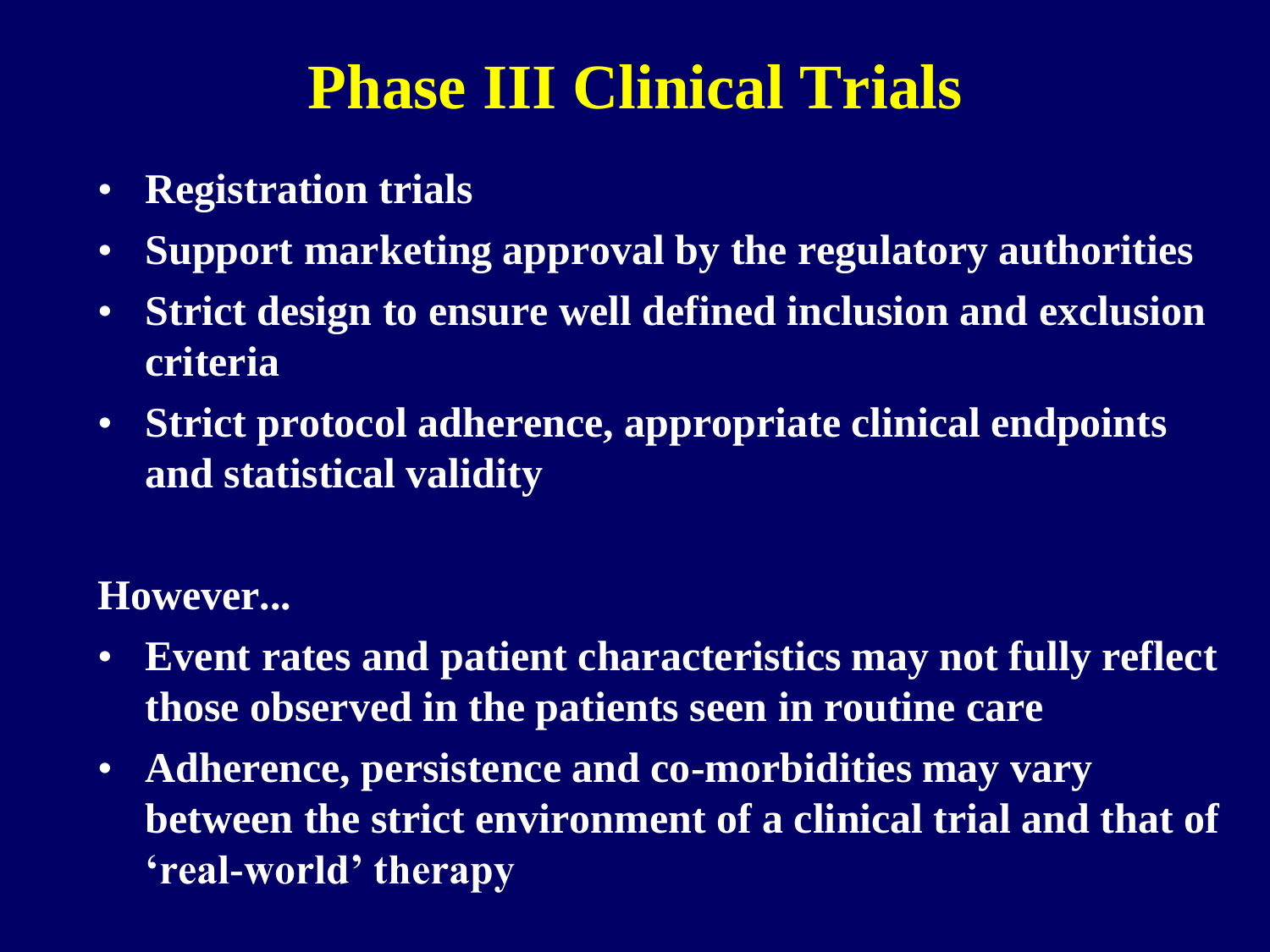# **Phase III Clinical Trials**

- **Registration trials**
- **Support marketing approval by the regulatory authorities**
- **Strict design to ensure well defined inclusion and exclusion criteria**
- **Strict protocol adherence, appropriate clinical endpoints and statistical validity**

#### **However...**

- **Event rates and patient characteristics may not fully reflect those observed in the patients seen in routine care**
- **Adherence, persistence and co-morbidities may vary between the strict environment of a clinical trial and that of 'real-world' therapy**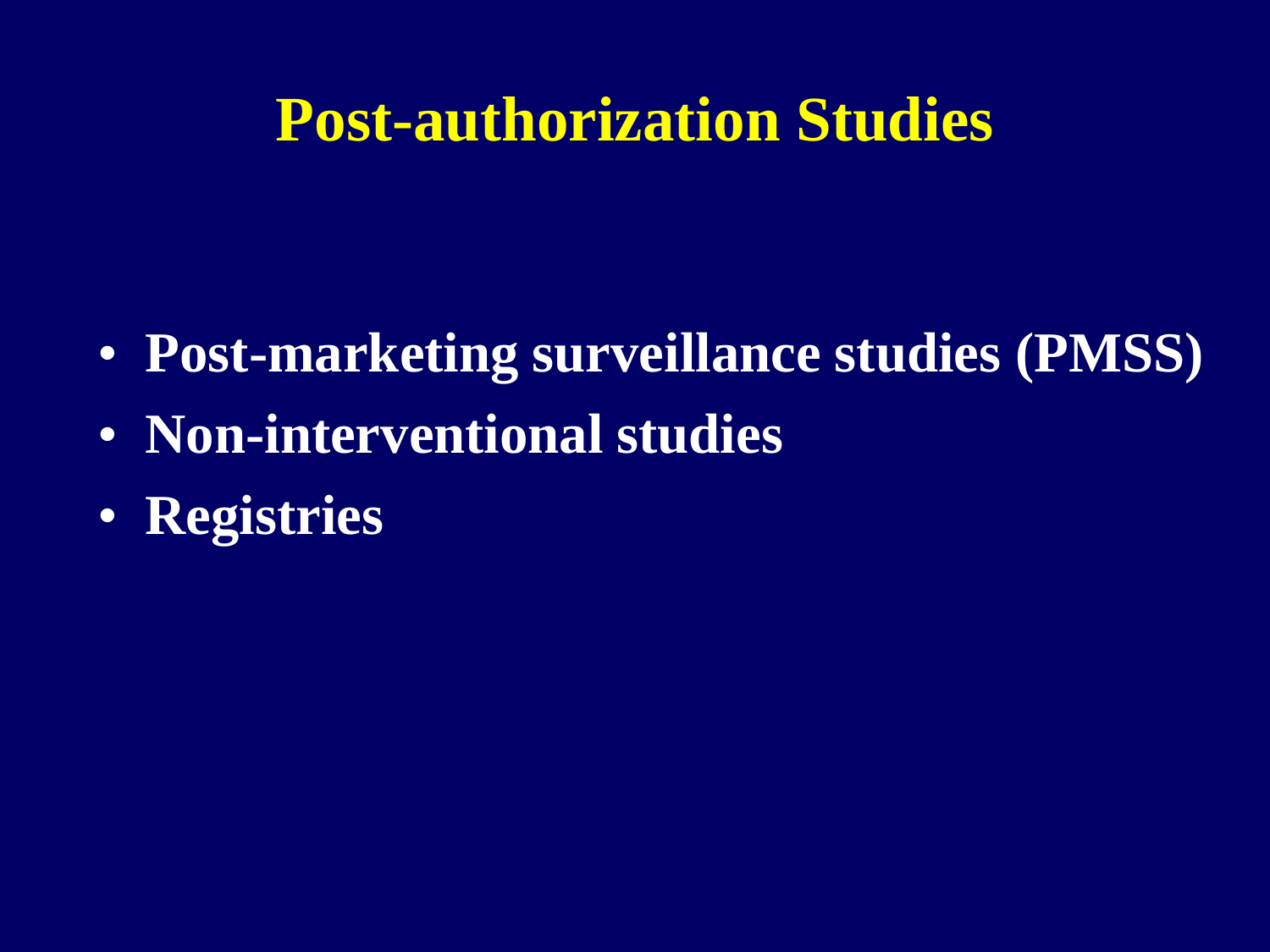## **Post-authorization Studies**

- **Post-marketing surveillance studies (PMSS)**
- **Non-interventional studies**
- **Registries**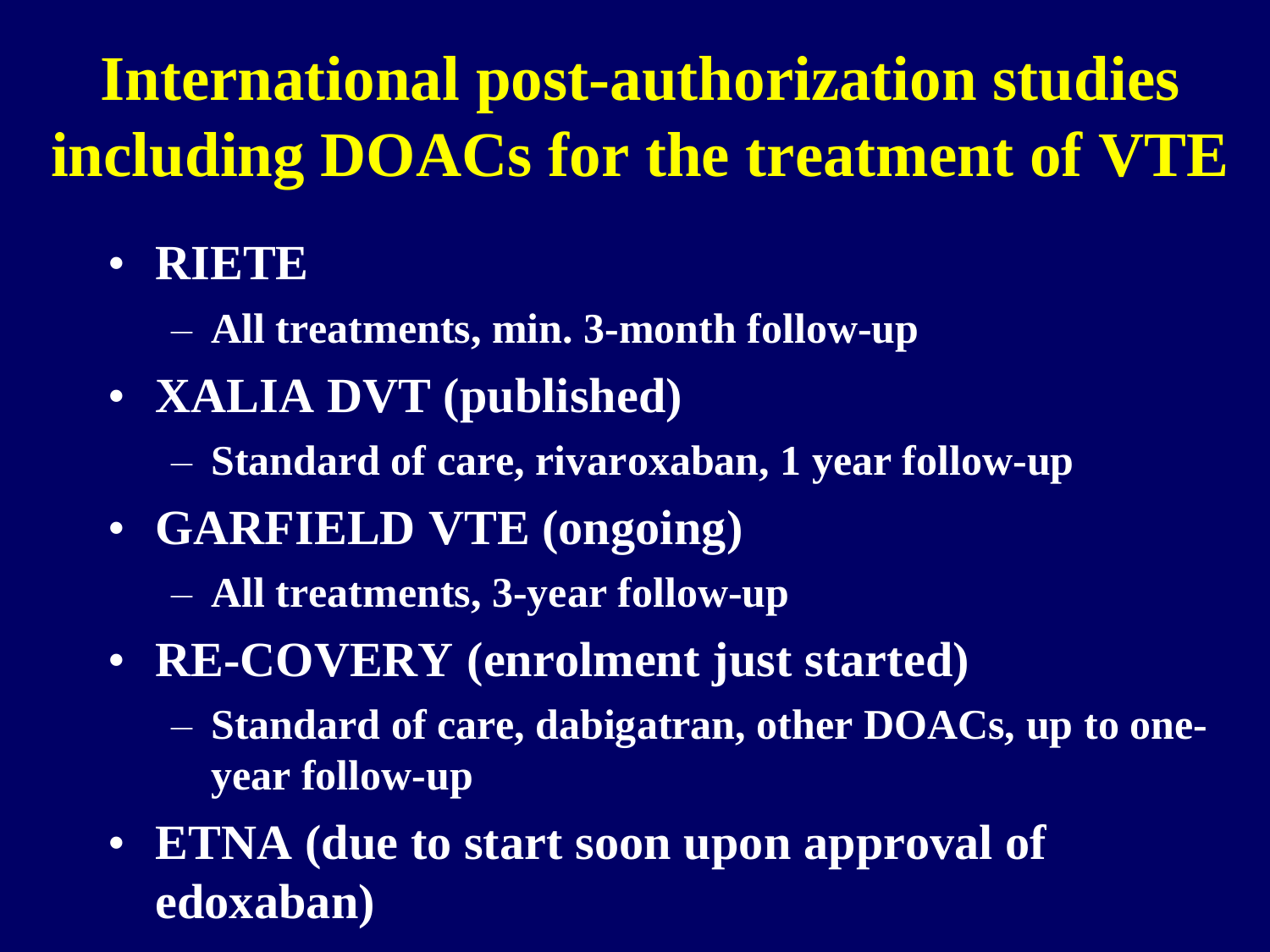# **International post-authorization studies including DOACs for the treatment of VTE**

- **RIETE**
	- **All treatments, min. 3-month follow-up**
- **XALIA DVT (published)**
	- **Standard of care, rivaroxaban, 1 year follow-up**
- **GARFIELD VTE (ongoing)**
	- **All treatments, 3-year follow-up**
- **RE-COVERY (enrolment just started)**
	- **Standard of care, dabigatran, other DOACs, up to oneyear follow-up**
- **ETNA (due to start soon upon approval of edoxaban)**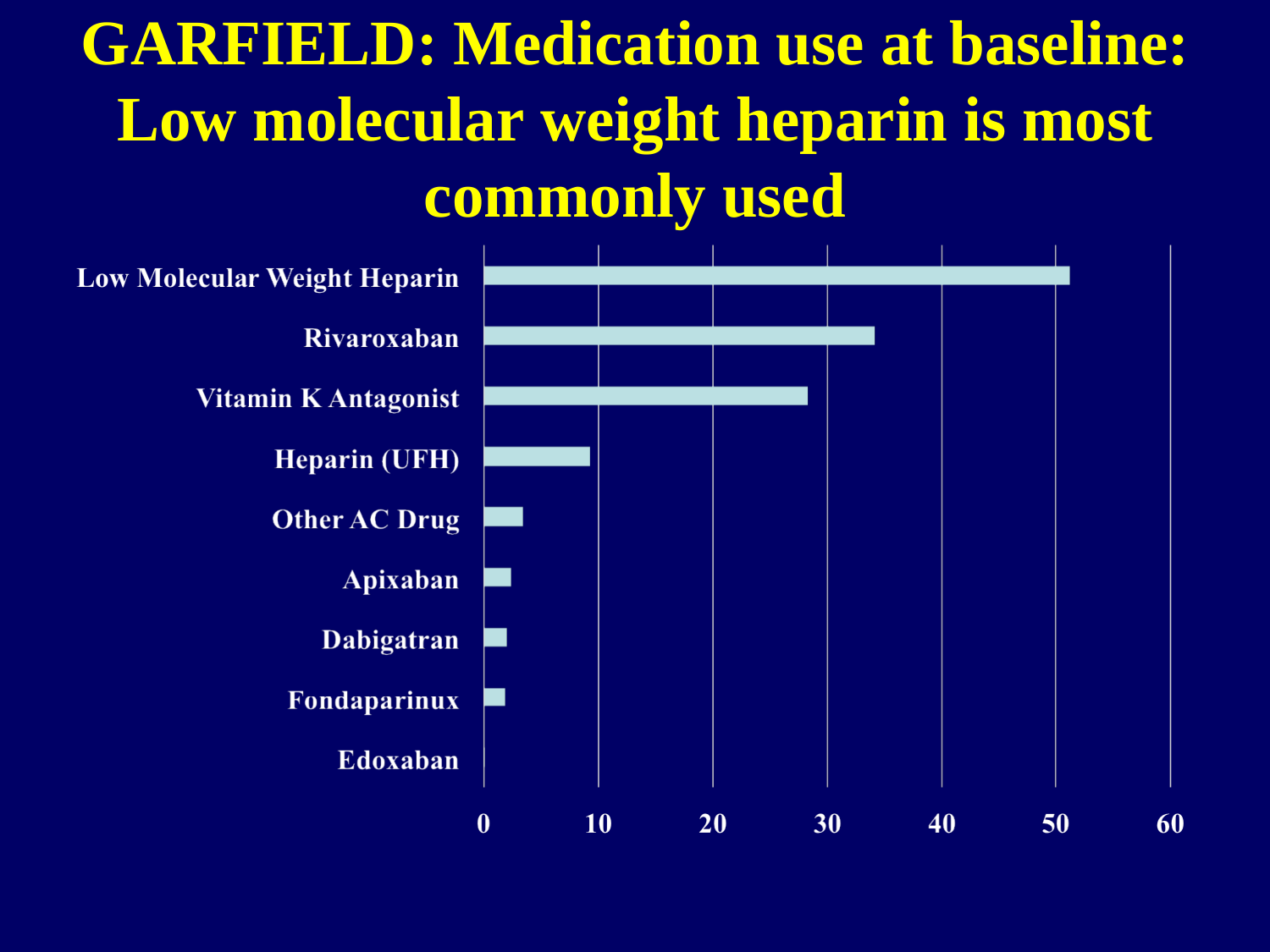# **GARFIELD: Medication use at baseline: Low molecular weight heparin is most commonly used**

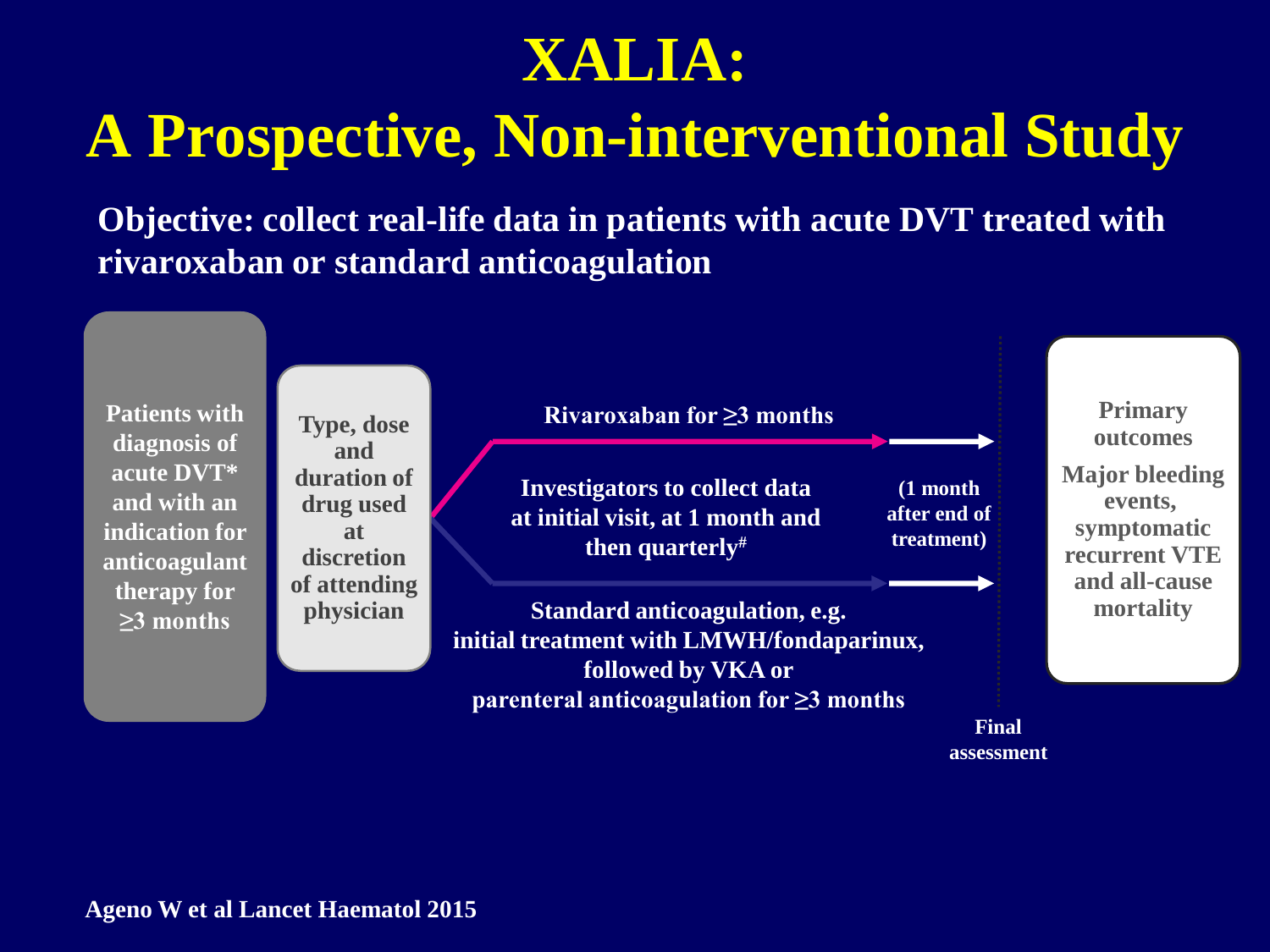## **XALIA:**

# **A Prospective, Non-interventional Study**

**Objective: collect real-life data in patients with acute DVT treated with rivaroxaban or standard anticoagulation**

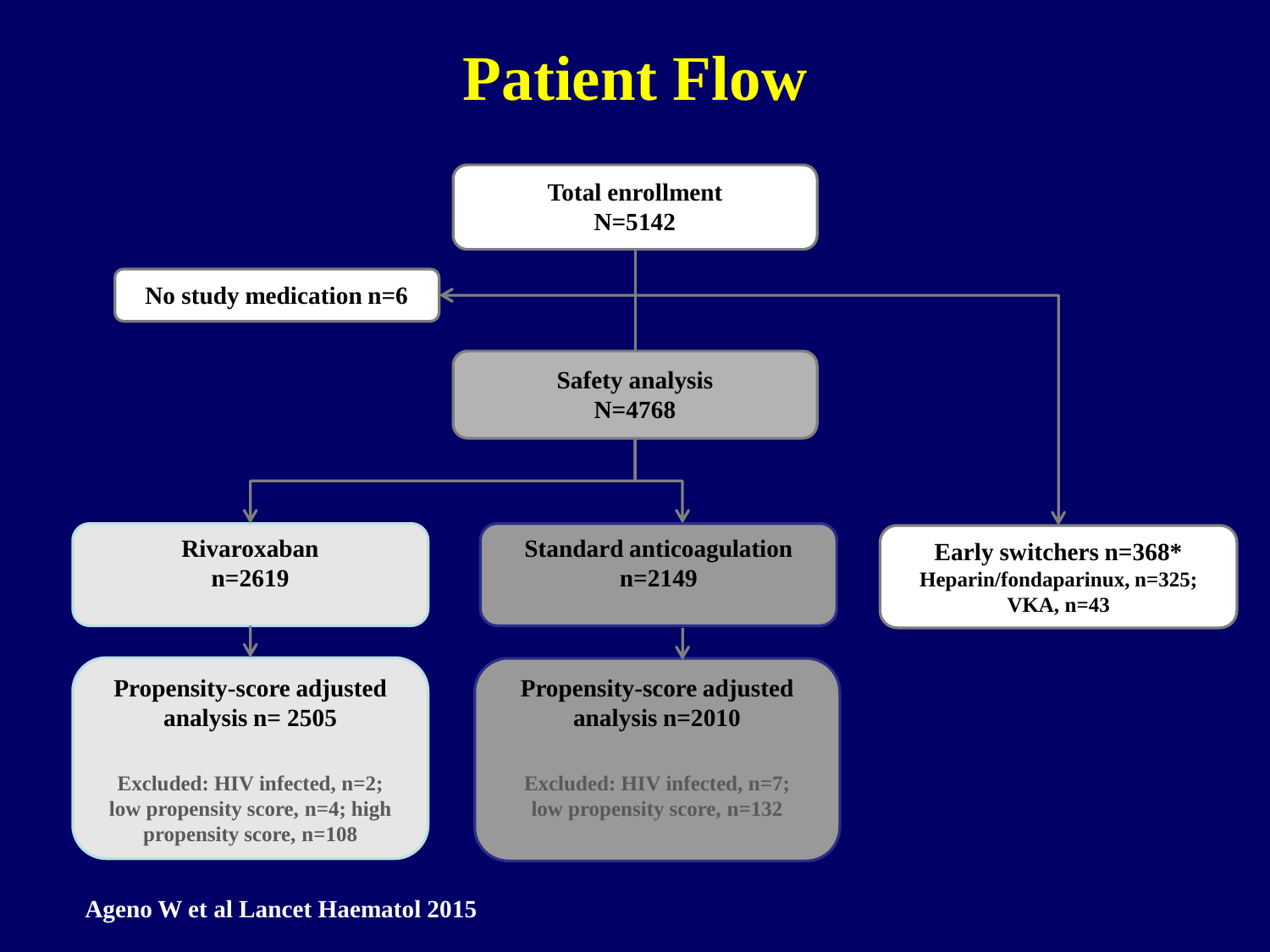## **Patient Flow**

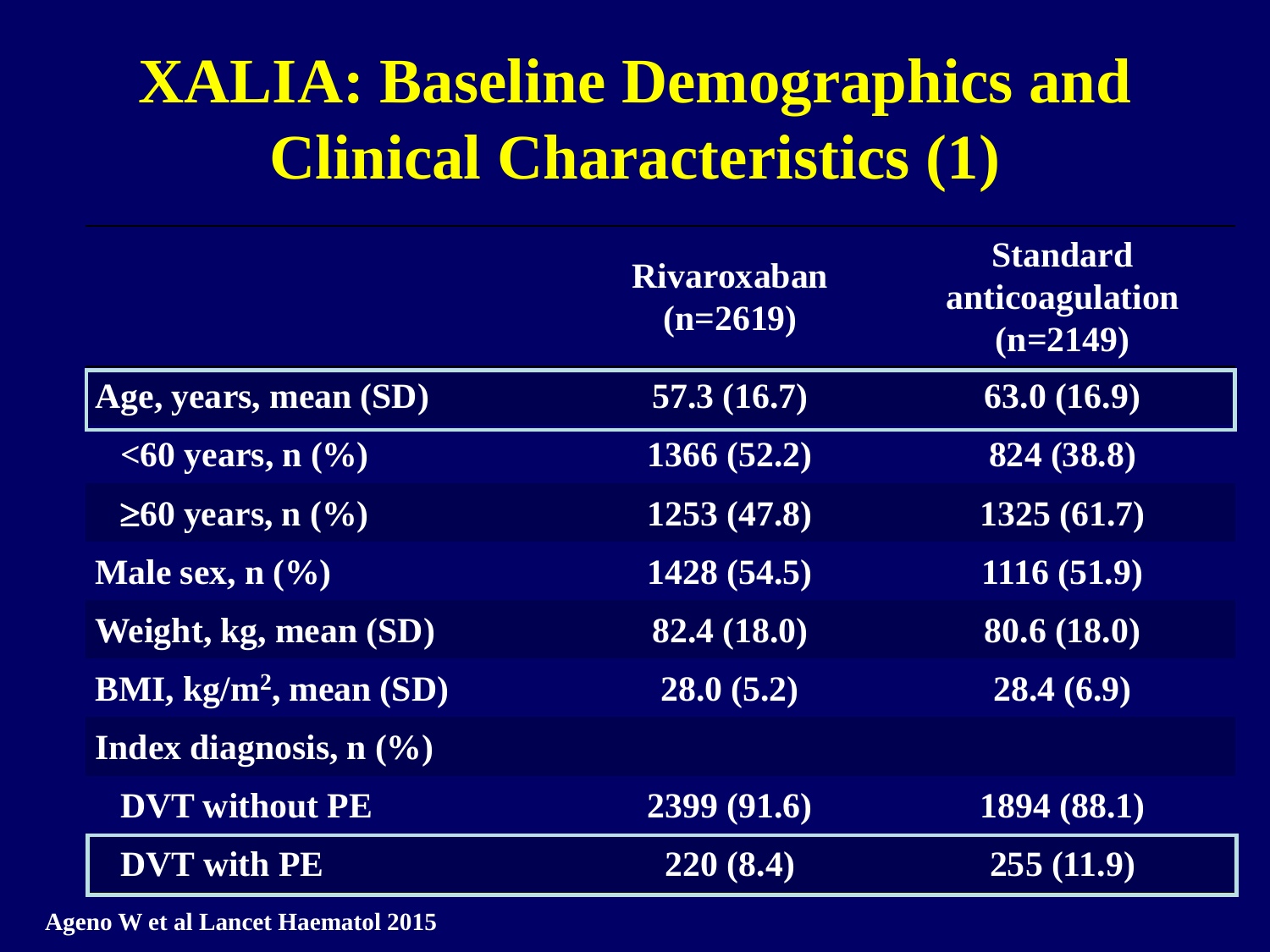# **XALIA: Baseline Demographics and Clinical Characteristics (1)**

|                                               | <b>Rivaroxaban</b><br>$(n=2619)$ | <b>Standard</b><br>anticoagulation<br>$(n=2149)$ |
|-----------------------------------------------|----------------------------------|--------------------------------------------------|
| Age, years, mean (SD)                         | 57.3(16.7)                       | 63.0(16.9)                                       |
| $\leq 60$ years, n $\left(\frac{0}{0}\right)$ | 1366 (52.2)                      | 824 (38.8)                                       |
| $\geq 60$ years, n $(\%$                      | 1253 (47.8)                      | 1325(61.7)                                       |
| Male sex, $n\left(\frac{0}{0}\right)$         | 1428 (54.5)                      | 1116(51.9)                                       |
| Weight, kg, mean (SD)                         | 82.4 (18.0)                      | 80.6 (18.0)                                      |
| BMI, $kg/m^2$ , mean $(SD)$                   | 28.0(5.2)                        | 28.4(6.9)                                        |
| Index diagnosis, $n$ $(\frac{6}{6})$          |                                  |                                                  |
| <b>DVT</b> without PE                         | 2399 (91.6)                      | 1894(88.1)                                       |
| <b>DVT</b> with PE                            | 220(8.4)                         | 255(11.9)                                        |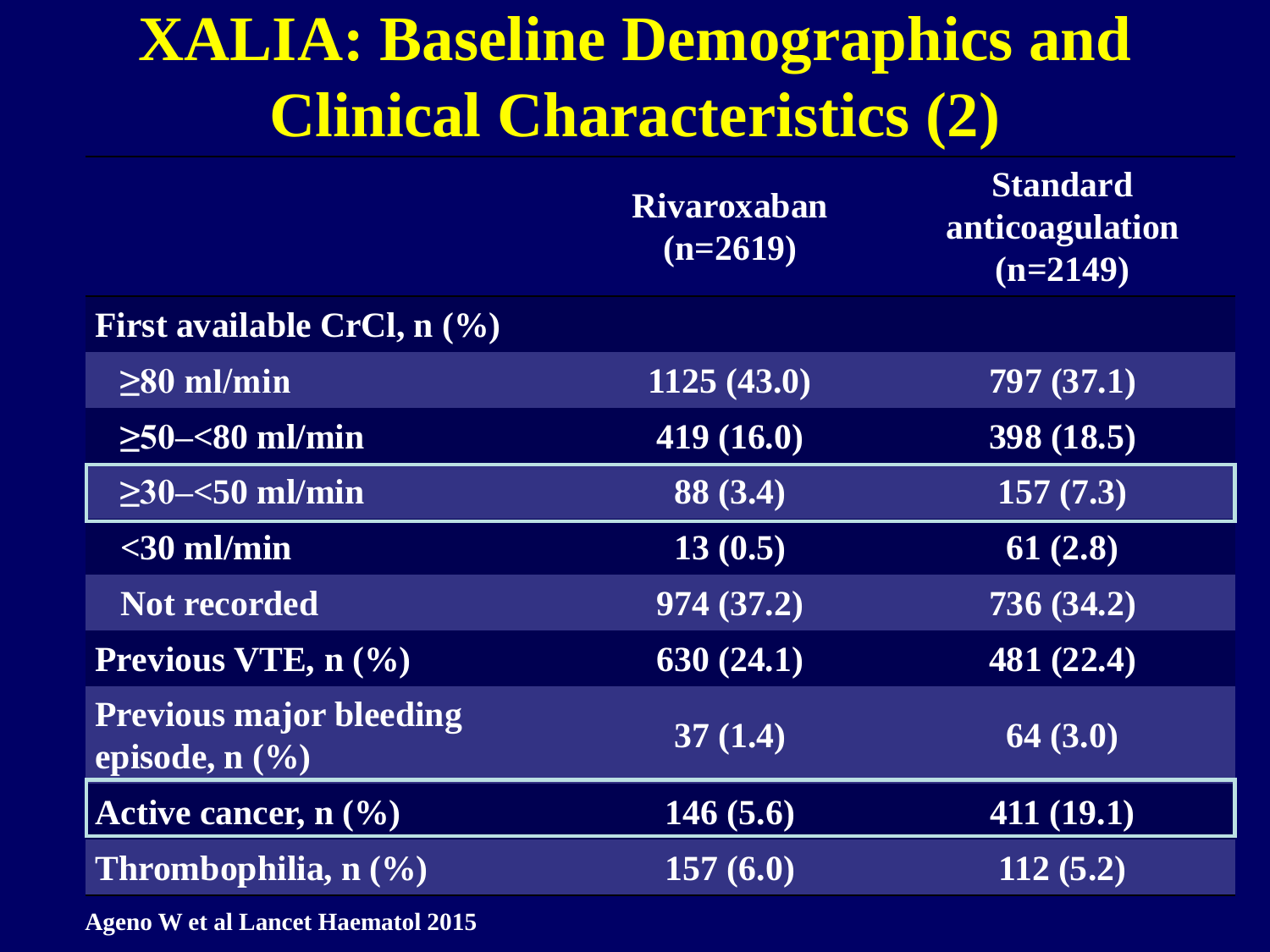# **XALIA: Baseline Demographics and Clinical Characteristics (2)**

| $(n=2619)$ | <b>Standard</b><br>anticoagulation<br>$(n=2149)$ |
|------------|--------------------------------------------------|
|            |                                                  |
| 1125(43.0) | 797(37.1)                                        |
| 419(16.0)  | 398(18.5)                                        |
| 88 (3.4)   | 157(7.3)                                         |
| 13(0.5)    | 61(2.8)                                          |
| 974 (37.2) | 736(34.2)                                        |
| 630(24.1)  | 481 (22.4)                                       |
| 37(1.4)    | 64(3.0)                                          |
| 146(5.6)   | 411(19.1)                                        |
| 157(6.0)   | 112(5.2)                                         |
|            | <b>Rivaroxaban</b>                               |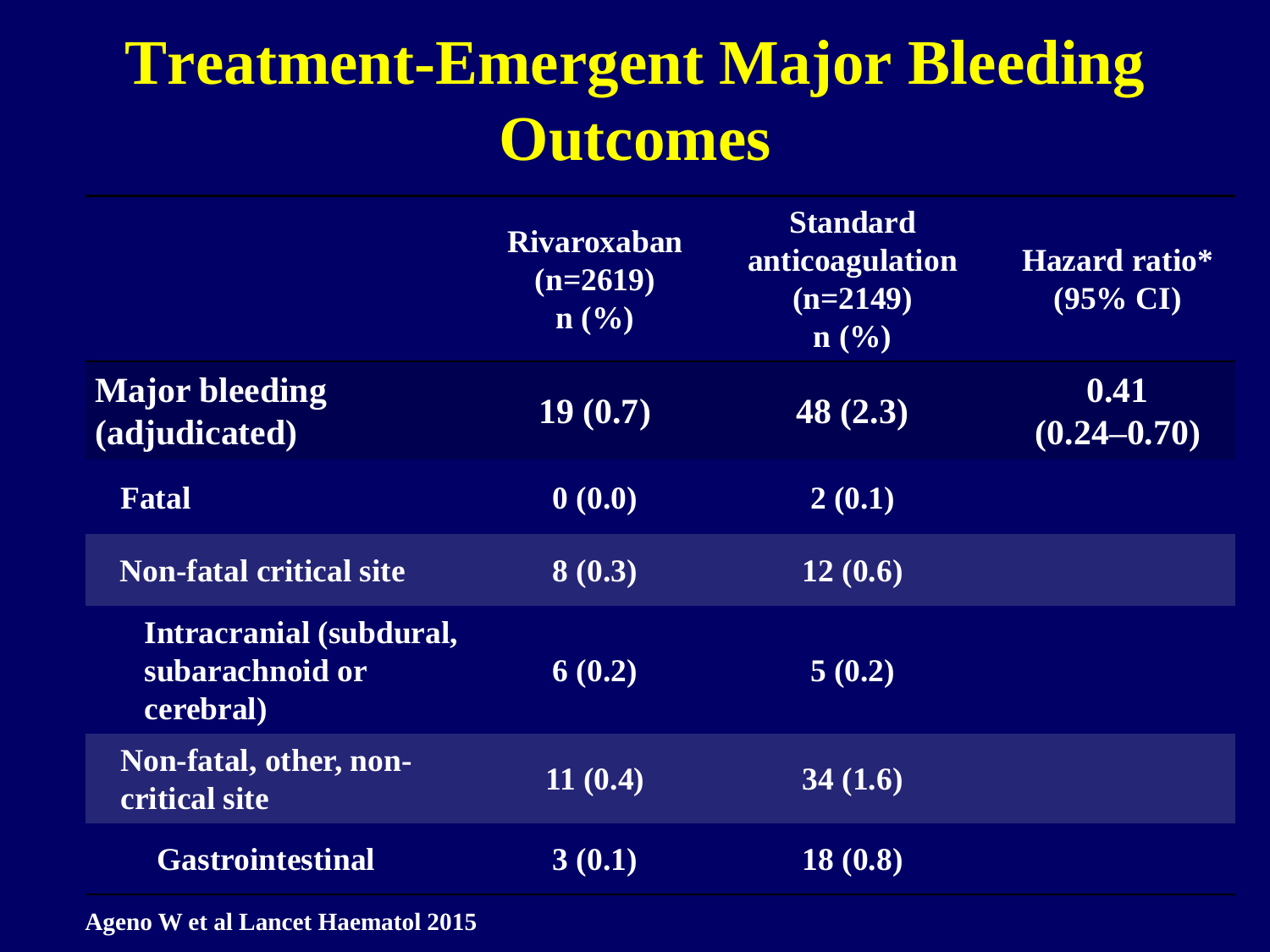# **Treatment-Emergent Major Bleeding Outcomes**

|                                                         | <b>Rivaroxaban</b><br>$(n=2619)$<br>$n\left(\frac{0}{0}\right)$ | <b>Standard</b><br>anticoagulation<br>$(n=2149)$<br>$\mathbf{n}(\%)$ | Hazard ratio*<br>$(95\% \text{ CI})$ |
|---------------------------------------------------------|-----------------------------------------------------------------|----------------------------------------------------------------------|--------------------------------------|
| <b>Major bleeding</b><br>(adjudicated)                  | 19(0.7)                                                         | 48(2.3)                                                              | 0.41<br>$(0.24 - 0.70)$              |
| <b>Fatal</b>                                            | 0(0.0)                                                          | 2(0.1)                                                               |                                      |
| <b>Non-fatal critical site</b>                          | 8(0.3)                                                          | 12(0.6)                                                              |                                      |
| Intracranial (subdural,<br>subarachnoid or<br>cerebral) | 6(0.2)                                                          | 5(0.2)                                                               |                                      |
| Non-fatal, other, non-<br>critical site                 | 11(0.4)                                                         | 34(1.6)                                                              |                                      |
| <b>Gastrointestinal</b>                                 | 3(0.1)                                                          | 18(0.8)                                                              |                                      |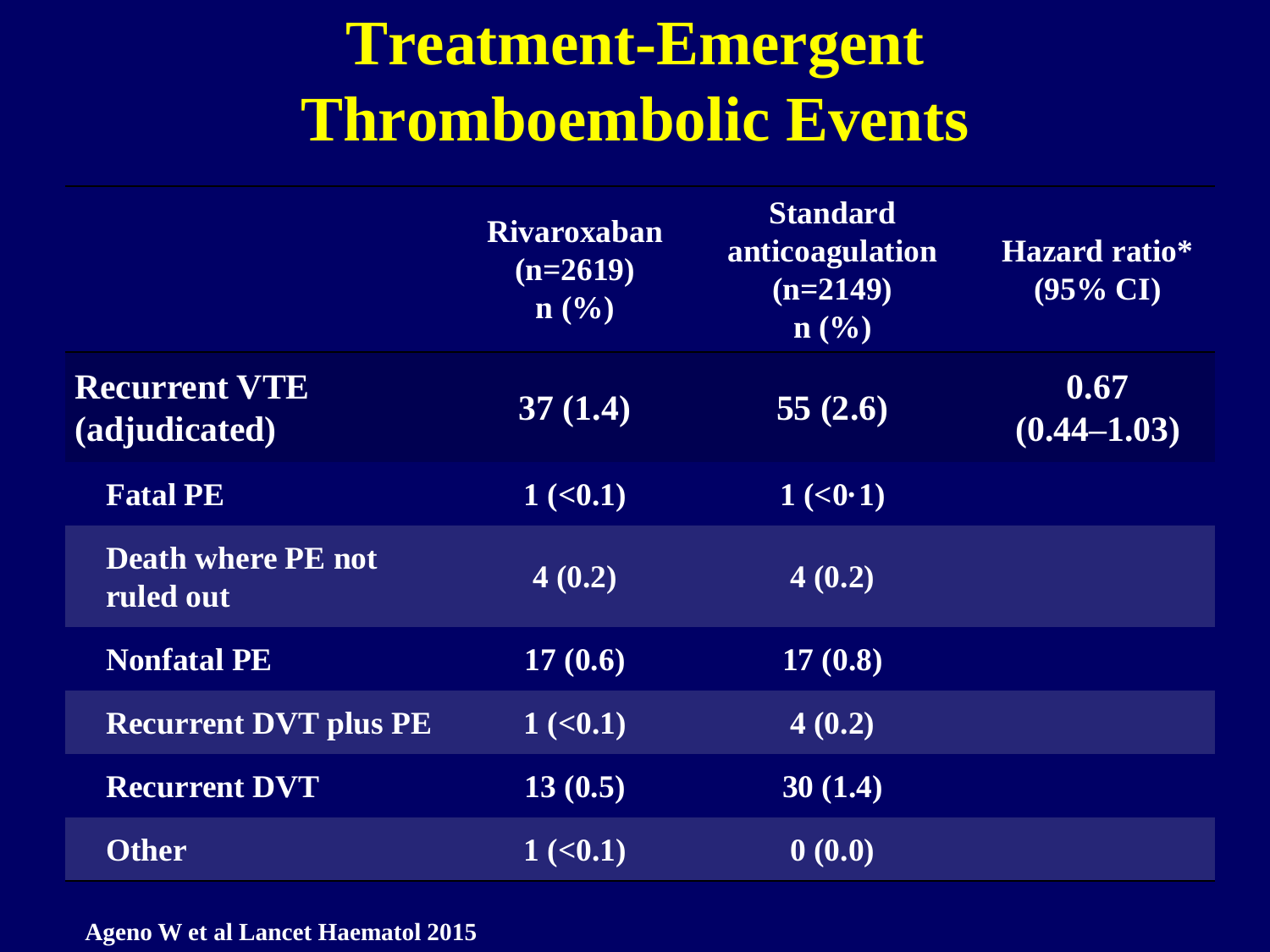# **Treatment-Emergent Thromboembolic Events**

|                                        | <b>Rivaroxaban</b><br>$(n=2619)$<br>$\mathbf{n}(\%)$ | <b>Standard</b><br>anticoagulation<br>$(n=2149)$<br>$\mathbf{n}(\%)$ | <b>Hazard ratio*</b><br>$(95\% \text{ CI})$ |
|----------------------------------------|------------------------------------------------------|----------------------------------------------------------------------|---------------------------------------------|
| <b>Recurrent VTE</b><br>(adjudicated)  | 37(1.4)                                              | 55 $(2.6)$                                                           | 0.67<br>$(0.44 - 1.03)$                     |
| <b>Fatal PE</b>                        | $1 \,(<,0.1)$                                        | 1 (<0.1)                                                             |                                             |
| <b>Death where PE not</b><br>ruled out | 4(0.2)                                               | 4(0.2)                                                               |                                             |
| <b>Nonfatal PE</b>                     | 17(0.6)                                              | 17(0.8)                                                              |                                             |
| <b>Recurrent DVT plus PE</b>           | 1 ( <b>0.1</b> )                                     | 4(0.2)                                                               |                                             |
| <b>Recurrent DVT</b>                   | 13(0.5)                                              | 30(1.4)                                                              |                                             |
| <b>Other</b>                           | $1 \times 0.1$                                       | 0(0.0)                                                               |                                             |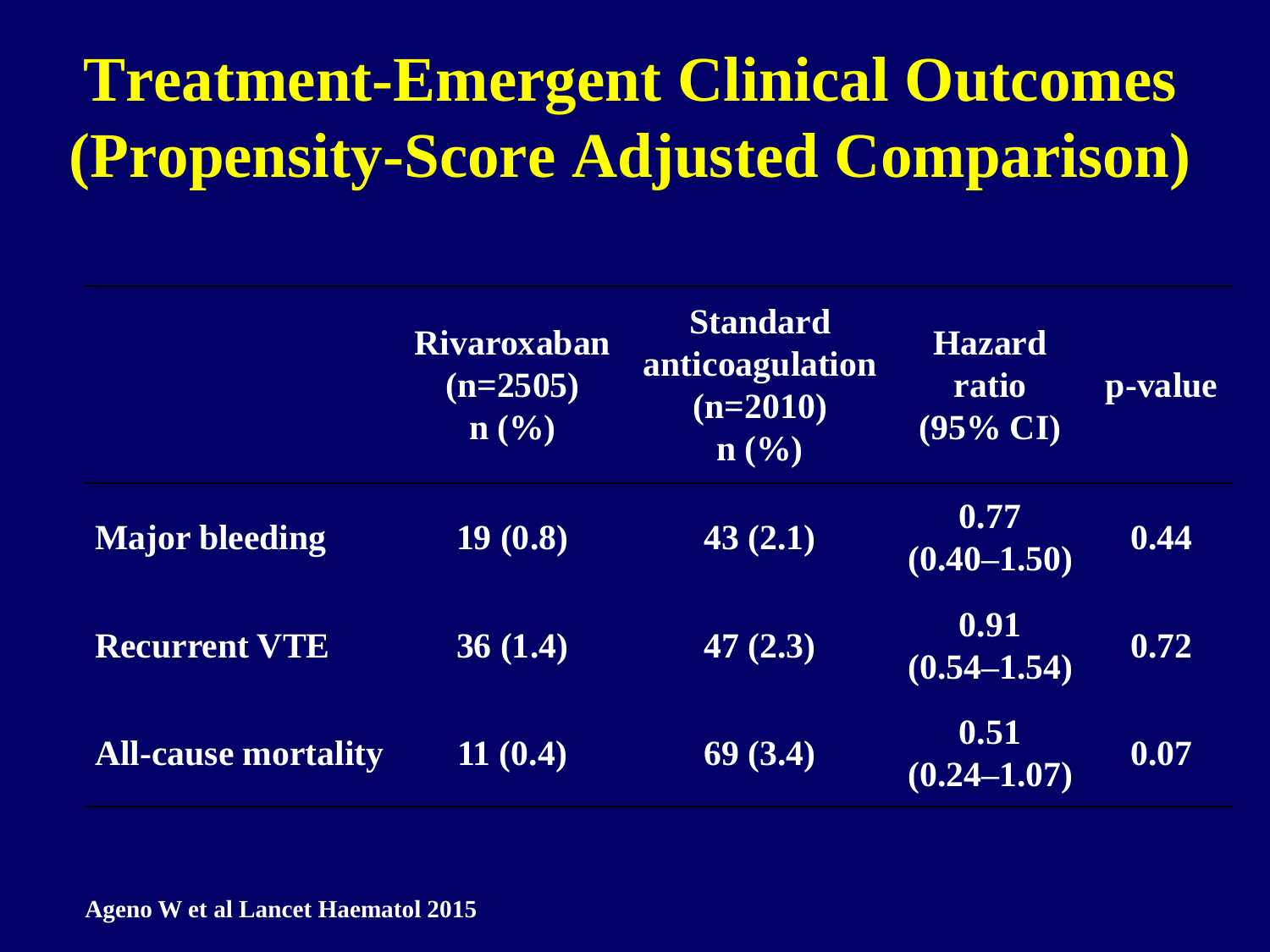# **Treatment-Emergent Clinical Outcomes (Propensity-Score Adjusted Comparison)**

|                            | <b>Rivaroxaban</b><br>$(n=2505)$<br>$\mathbf{n}(\%)$ | <b>Standard</b><br>anticoagulation<br>$(n=2010)$<br>$\mathbf{n}(\%)$ | <b>Hazard</b><br>ratio<br>$(95\% \text{ CI})$ | <b>p-value</b> |
|----------------------------|------------------------------------------------------|----------------------------------------------------------------------|-----------------------------------------------|----------------|
| <b>Major bleeding</b>      | 19(0.8)                                              | 43(2.1)                                                              | 0.77<br>$(0.40 - 1.50)$                       | 0.44           |
| <b>Recurrent VTE</b>       | 36(1.4)                                              | 47 $(2.3)$                                                           | 0.91<br>$(0.54 - 1.54)$                       | 0.72           |
| <b>All-cause mortality</b> | 11(0.4)                                              | 69(3.4)                                                              | 0.51<br>$(0.24 - 1.07)$                       | 0.07           |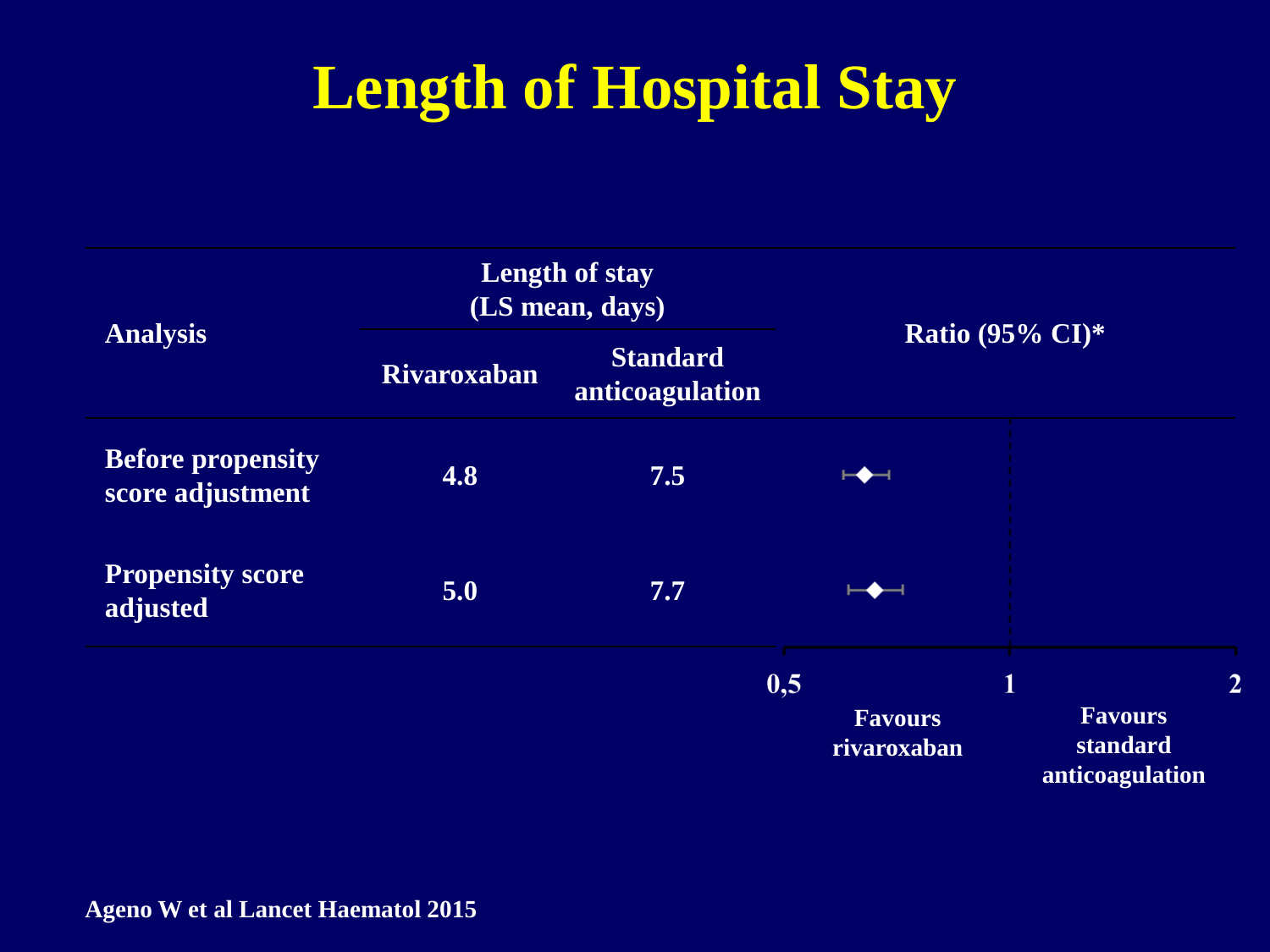# **Length of Hospital Stay**

| <b>Analysis</b>                              | <b>Length of stay</b><br>(LS mean, days) |                                    |                               |                                               |  |
|----------------------------------------------|------------------------------------------|------------------------------------|-------------------------------|-----------------------------------------------|--|
|                                              | <b>Rivaroxaban</b>                       | <b>Standard</b><br>anticoagulation | Ratio (95% $CI$ )*            |                                               |  |
| <b>Before propensity</b><br>score adjustment | 4.8                                      | 7.5                                |                               |                                               |  |
| <b>Propensity score</b><br>adjusted          | 5.0                                      | 7.7                                |                               |                                               |  |
|                                              |                                          |                                    | 0,5                           | 1                                             |  |
|                                              |                                          |                                    | <b>Favours</b><br>rivaroxaban | <b>Favours</b><br>standard<br>anticoagulation |  |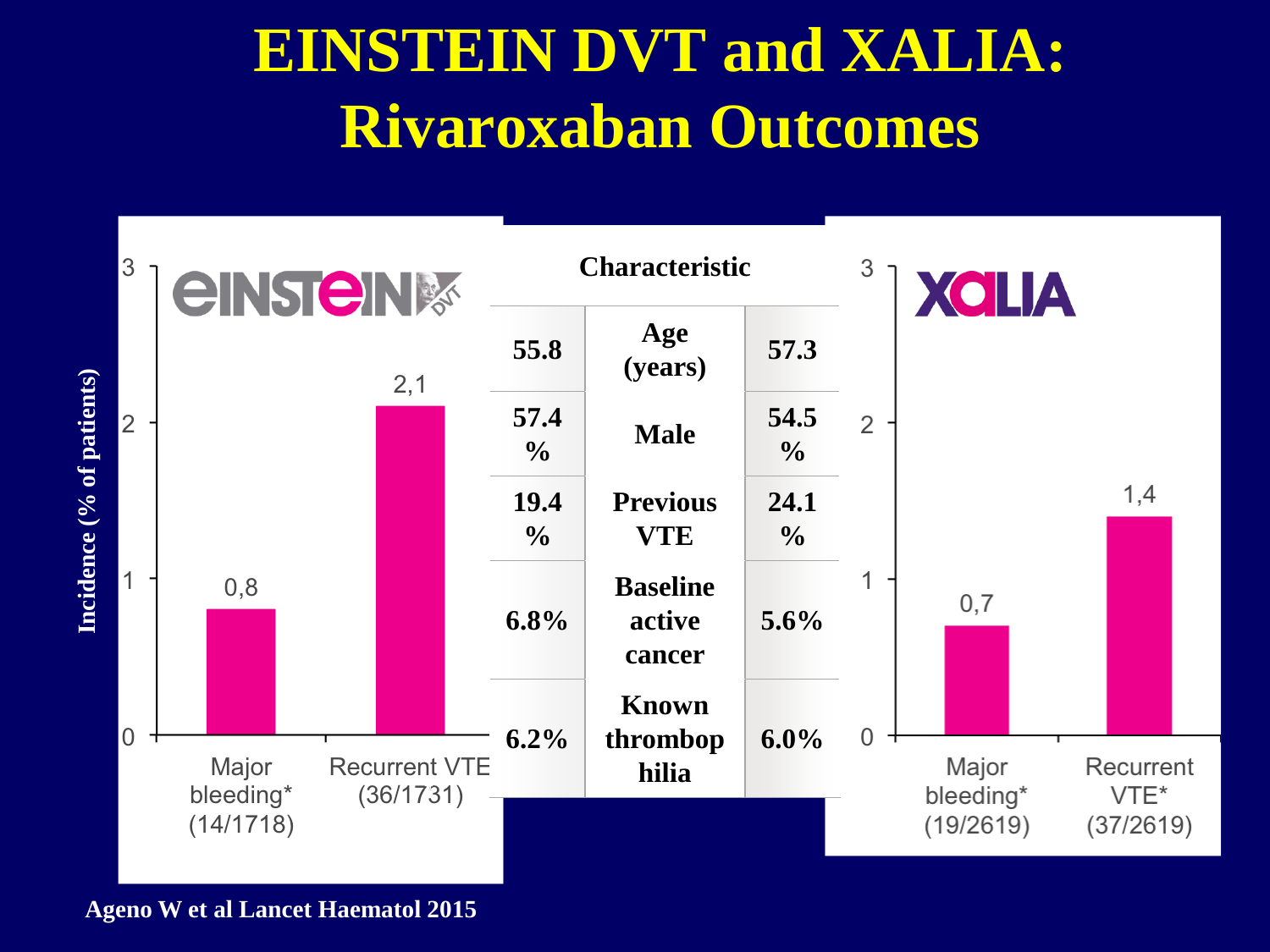# **EINSTEIN DVT and XALIA: Rivaroxaban Outcomes**



**Ageno W et al Lancet Haematol 2015**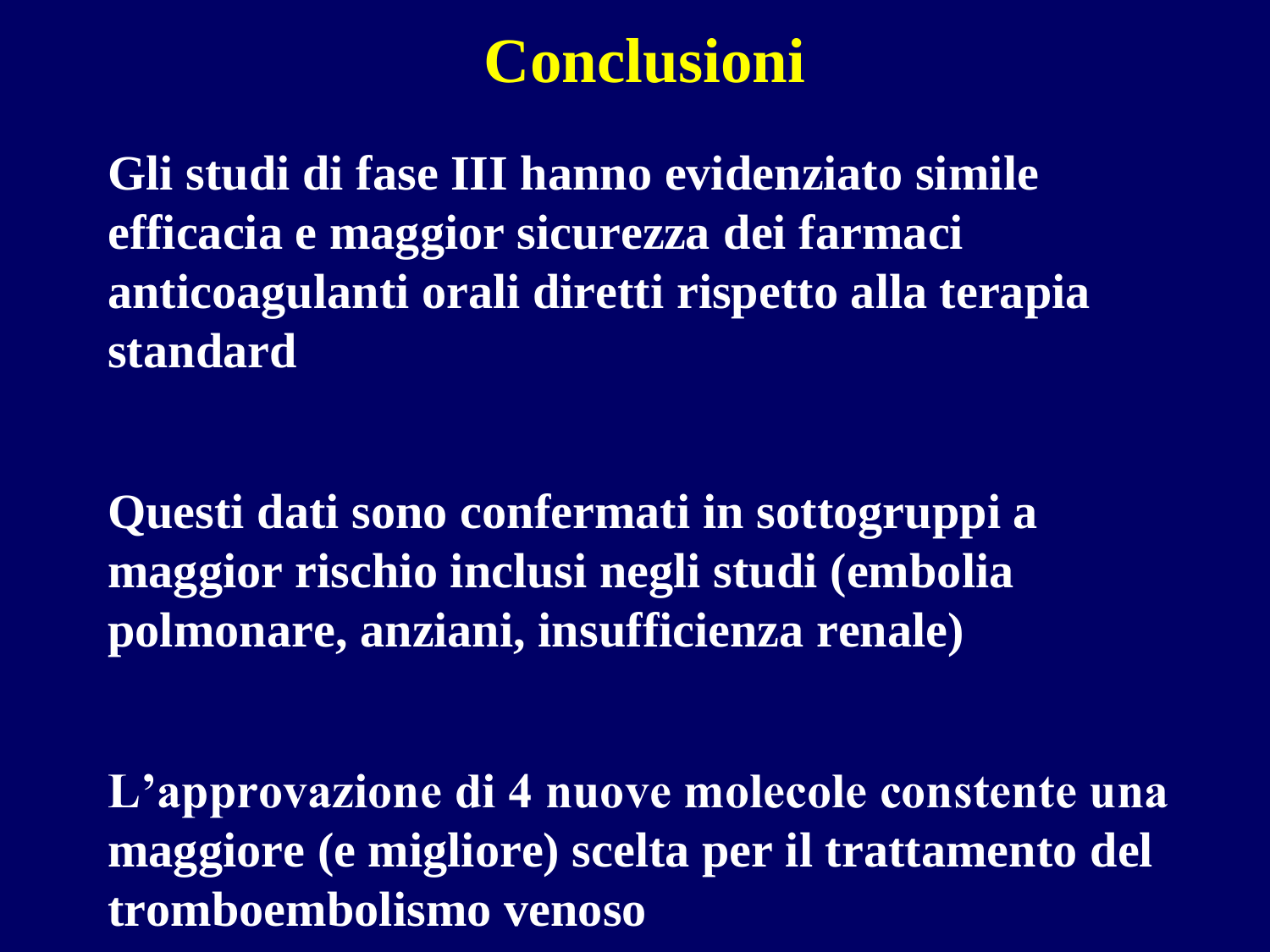#### **Conclusioni**

**Gli studi di fase III hanno evidenziato simile efficacia e maggior sicurezza dei farmaci anticoagulanti orali diretti rispetto alla terapia standard**

**Questi dati sono confermati in sottogruppi a maggior rischio inclusi negli studi (embolia polmonare, anziani, insufficienza renale)**

**L'approvazione di 4 nuove molecole constente una maggiore (e migliore) scelta per il trattamento del tromboembolismo venoso**